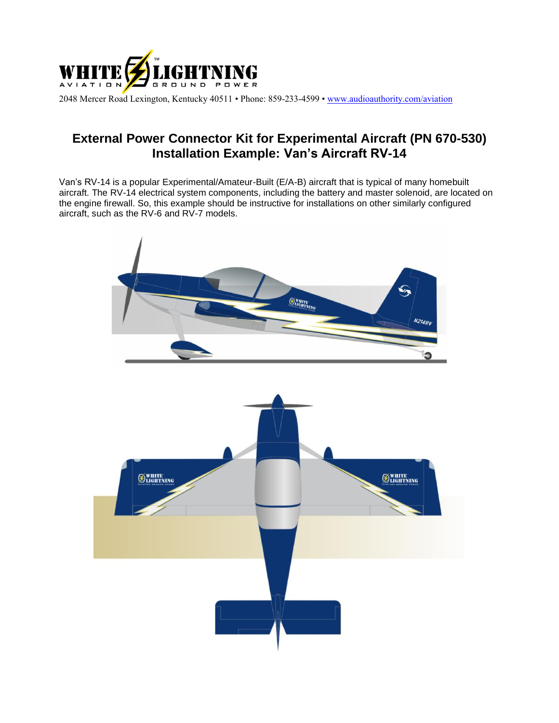

2048 Mercer Road Lexington, Kentucky 40511 • Phone: 859-233-4599 • [www.audioauthority.com/aviation](http://www.audioauthority.com/aviation)

## **External Power Connector Kit for Experimental Aircraft (PN 670-530) Installation Example: Van's Aircraft RV-14**

Van's RV-14 is a popular Experimental/Amateur-Built (E/A-B) aircraft that is typical of many homebuilt aircraft. The RV-14 electrical system components, including the battery and master solenoid, are located on the engine firewall. So, this example should be instructive for installations on other similarly configured aircraft, such as the RV-6 and RV-7 models.

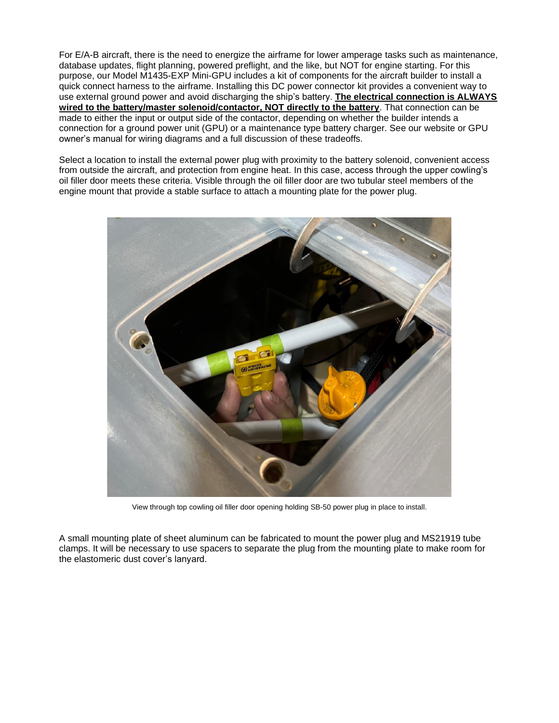For E/A-B aircraft, there is the need to energize the airframe for lower amperage tasks such as maintenance, database updates, flight planning, powered preflight, and the like, but NOT for engine starting. For this purpose, our Model M1435-EXP Mini-GPU includes a kit of components for the aircraft builder to install a quick connect harness to the airframe. Installing this DC power connector kit provides a convenient way to use external ground power and avoid discharging the ship's battery. **The electrical connection is ALWAYS wired to the battery/master solenoid/contactor, NOT directly to the battery**. That connection can be made to either the input or output side of the contactor, depending on whether the builder intends a connection for a ground power unit (GPU) or a maintenance type battery charger. See our website or GPU owner's manual for wiring diagrams and a full discussion of these tradeoffs.

Select a location to install the external power plug with proximity to the battery solenoid, convenient access from outside the aircraft, and protection from engine heat. In this case, access through the upper cowling's oil filler door meets these criteria. Visible through the oil filler door are two tubular steel members of the engine mount that provide a stable surface to attach a mounting plate for the power plug.



View through top cowling oil filler door opening holding SB-50 power plug in place to install.

A small mounting plate of sheet aluminum can be fabricated to mount the power plug and MS21919 tube clamps. It will be necessary to use spacers to separate the plug from the mounting plate to make room for the elastomeric dust cover's lanyard.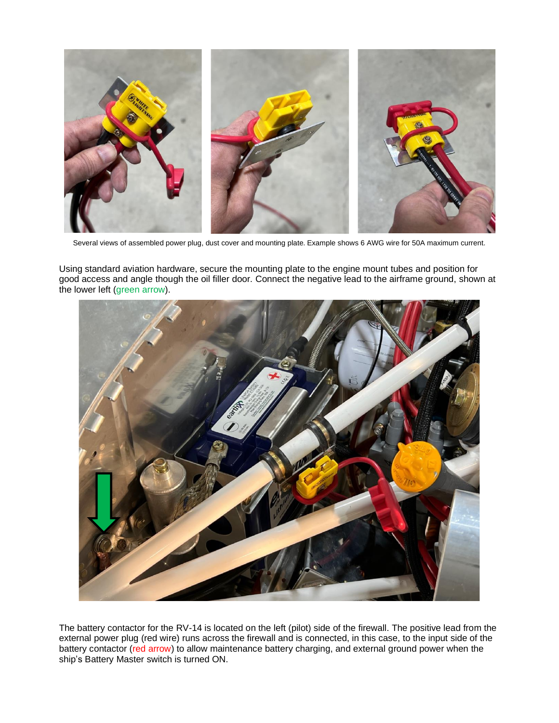

Several views of assembled power plug, dust cover and mounting plate. Example shows 6 AWG wire for 50A maximum current.

Using standard aviation hardware, secure the mounting plate to the engine mount tubes and position for good access and angle though the oil filler door. Connect the negative lead to the airframe ground, shown at the lower left (green arrow).



The battery contactor for the RV-14 is located on the left (pilot) side of the firewall. The positive lead from the external power plug (red wire) runs across the firewall and is connected, in this case, to the input side of the battery contactor (red arrow) to allow maintenance battery charging, and external ground power when the ship's Battery Master switch is turned ON.